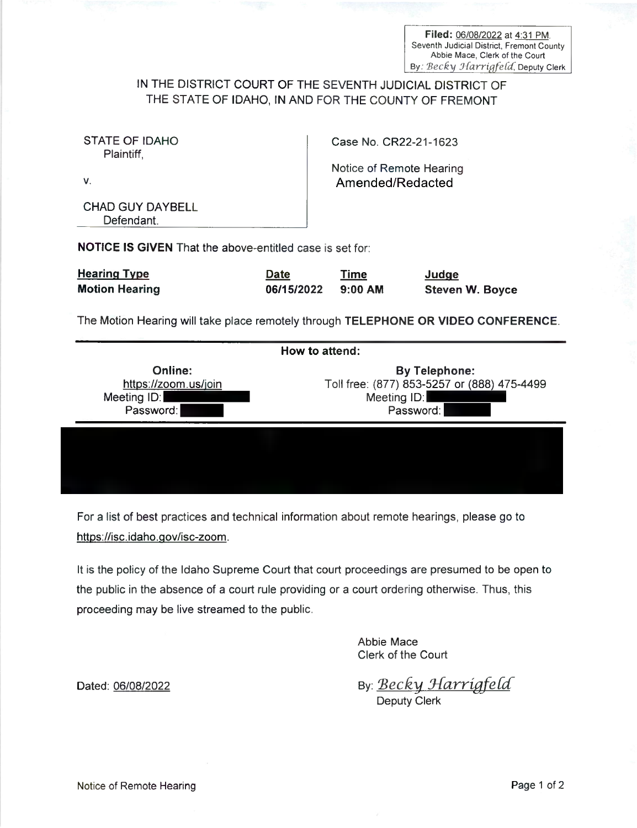Filed: 06/08/2022 at 4:31 PM.<br>Seventh Judicial District, Fremont County Abbie Mace, Clerk of the Court By: Becky Harrigfeld, Deputy Clerk

## IN THE DISTRICT COURT OF THE SEVENTH JUDICIAL DISTRICT 0F THE STATE OF IDAHO, IN AND FOR THE COUNTY OF FREMONT

| STATE OF IDAHO<br>Plaintiff.                                                       |                    | Case No. CR22-21-1623                        |                                 |  |
|------------------------------------------------------------------------------------|--------------------|----------------------------------------------|---------------------------------|--|
| v.                                                                                 |                    | Notice of Remote Hearing<br>Amended/Redacted |                                 |  |
| CHAD GUY DAYBELL<br>Defendant.                                                     |                    |                                              |                                 |  |
| <b>NOTICE IS GIVEN</b> That the above-entitled case is set for:                    |                    |                                              |                                 |  |
| Hearing Type<br><b>Motion Hearing</b>                                              | Date<br>06/15/2022 | Time<br>$9:00$ AM                            | Judge<br><b>Steven W. Boyce</b> |  |
| The Motion Hearing will take place remotely through TELEPHONE OR VIDEO CONFERENCE. |                    |                                              |                                 |  |

| How to attend:                                              |                                                                                                 |  |  |
|-------------------------------------------------------------|-------------------------------------------------------------------------------------------------|--|--|
| Online:<br>https://zoom.us/join<br>Meeting ID:<br>Password: | <b>By Telephone:</b><br>Toll free: (877) 853-5257 or (888) 475-4499<br>Meeting ID:<br>Password: |  |  |
|                                                             |                                                                                                 |  |  |

For a list of best practices and technical information about remote hearings, please go to https://isc.idaho.gov/isc-zoom.

It is the policy of the Idaho Supreme Court that court proceedings are presumed to be open to the public in the absence of a court rule providing or a court ordering otherwise. Thus, this proceeding may be live streamed to the public.

> Abbie Mace Clerk of the Court

Dated: oelog/zozz By; Becky [Harrigfefcf Deputy Clerk